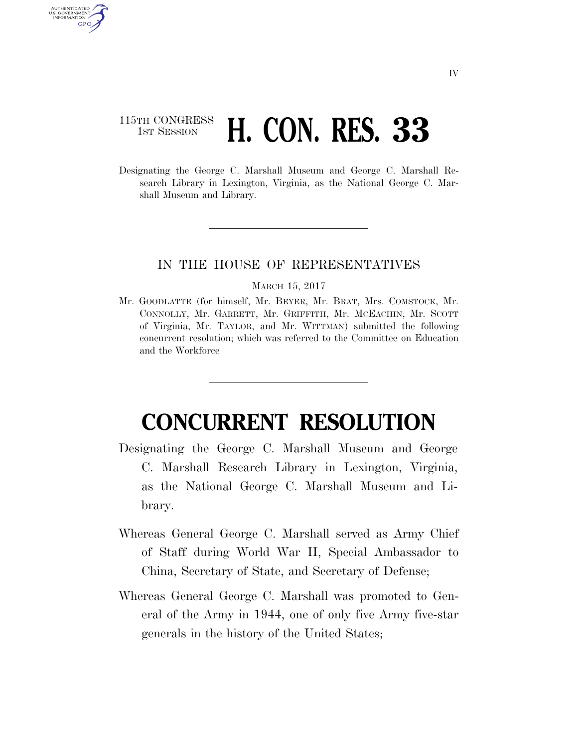## 115TH CONGRESS **1ST SESSION <b>H. CON. RES. 33**

AUTHENTICATED U.S. GOVERNMENT GPO

> Designating the George C. Marshall Museum and George C. Marshall Research Library in Lexington, Virginia, as the National George C. Marshall Museum and Library.

## IN THE HOUSE OF REPRESENTATIVES

## MARCH 15, 2017

Mr. GOODLATTE (for himself, Mr. BEYER, Mr. BRAT, Mrs. COMSTOCK, Mr. CONNOLLY, Mr. GARRETT, Mr. GRIFFITH, Mr. MCEACHIN, Mr. SCOTT of Virginia, Mr. TAYLOR, and Mr. WITTMAN) submitted the following concurrent resolution; which was referred to the Committee on Education and the Workforce

## **CONCURRENT RESOLUTION**

- Designating the George C. Marshall Museum and George C. Marshall Research Library in Lexington, Virginia, as the National George C. Marshall Museum and Library.
- Whereas General George C. Marshall served as Army Chief of Staff during World War II, Special Ambassador to China, Secretary of State, and Secretary of Defense;
- Whereas General George C. Marshall was promoted to General of the Army in 1944, one of only five Army five-star generals in the history of the United States;